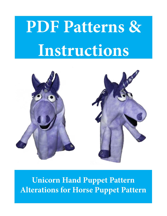# **PDF Patterns & Instructions**



**Unicorn Hand Puppet Pattern Alterations for Horse Puppet Pattern**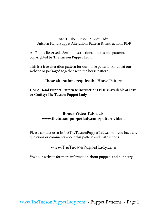#### ©2015 The Tucson Puppet Lady Unicorn Hand Puppet Alterations Pattern & Instructions PDF

All Rights Reserved. Sewing instructions, photos and patterns copyrighted by The Tucson Puppet Lady.

This is a free alteration pattern for our horse pattern. Find it at our website or packaged together with the horse pattern.

### **These alterations require the Horse Pattern**

**Horse Hand Puppet Pattern & Instructions PDF is available at Etsy or Craftsy: The Tucson Puppet Lady**

## **Bonus Video Tutorials: www.thetucsonpuppetlady.com/patternvideos**

Please contact us at **info@TheTucsonPuppetLady.com** if you have any questions or comments about this pattern and instructions.

## www.TheTucsonPuppetLady.com

Visit our website for more information about puppets and puppetry!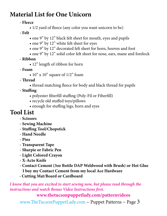# **Material List for One Unicorn**

**- Fleece**

 • 1/2 yard of fleece (any color you want unicorn to be)

**- Felt**

- one 9" by 12" black felt sheet for mouth, eyes and pupils
- one 9" by 12" white felt sheet for eyes
- one 9" by 12" decorated felt sheet for horn, hooves and foot
- one 9" by 12" solid color felt sheet for nose, ears, mane and forelock
- **Ribbon**
	- 12" length of ribbon for horn
- **Foam**
	- $10''$  x  $10''$  square of  $1/2''$  foam

**- Thread**

 • thread matching fleece for body and black thread for pupils

**- Stuffing**

- polyester fiberfill stuffing (Poly-Fil or Fiberfill)
- recycle old stuffed toys/pillows
- enough for stuffing legs, horn and eyes

# **Tool List**

- **Scissors**
- **Sewing Machine**
- **Stuffing Tool/Chopstick**
- **Hand Needle**
- **Pins**
- **Transparent Tape**
- **Sharpie or Fabric Pen**
- **Light Colored Crayon**
- **X-Acto Knife**
- **Contact Cement (3oz Bottle DAP Weldwood with Brush) or Hot Glue I buy my Contact Cement from my local Ace Hardware**
- **Cutting Mat/Board or Cardboard**

*I know that you are excited to start sewing now, but please read through the instructions and watch Bonus Video Instructions first.*

## **www.thetucsonpuppetlady.com/patternvideos**

[www.TheTucsonPuppetLady.com](http://www.thetucsonpuppetlady.com)  $\sim$  Puppet Patterns  $\sim$  Page 3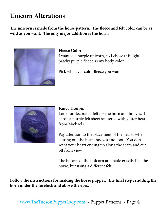# **Unicorn Alterations**

**The unicorn is made from the horse pattern. The fleece and felt color can be as wild as you want. The only major addition is the horn.** 



### **Fleece Color**

I wanted a purple unicorn, so I chose this light patchy purple fleece as my body color.

Pick whatever color fleece you want.



#### **Fancy Hooves**

Look for decorated felt for the horn and hooves. I chose a purple felt sheet scattered with glitter hearts from Michaels.

Pay attention to the placement of the hearts when cutting out the horn, hooves and foot. You don't want your heart ending up along the seam and cut off from view.

The hooves of the unicorn are made exactly like the horse, but using a different felt.

**Follow the instructions for making the horse puppet. The final step is adding the horn under the forelock and above the eyes.**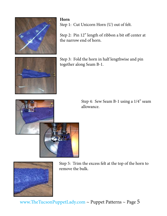

**Horn** Step 1: Cut Unicorn Horn (U) out of felt.

Step 2: Pin 12" length of ribbon a bit off center at the narrow end of horn.

Step 3: Fold the horn in half lengthwise and pin together along Seam B-1.



Step 4: Sew Seam B-1 using a 1/4" seam allowance.





Step 5: Trim the excess felt at the top of the horn to remove the bulk.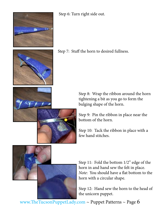

Step 6: Turn right side out.





Step 8: Wrap the ribbon around the horn tightening a bit as you go to form the bulging shape of the horn.

Step 9: Pin the ribbon in place near the bottom of the horn.

Step 10: Tack the ribbon in place with a few hand stitches.



Step 11: Fold the bottom 1/2" edge of the horn in and hand sew the felt in place. *Note*: You should have a flat bottom to the horn with a circular shape.

Step 12: Hand sew the horn to the head of the unicorn puppet.

[www.TheTucsonPuppetLady.com](http://www.thetucsonpuppetlady.com) ~ Puppet Patterns ~ Page 6